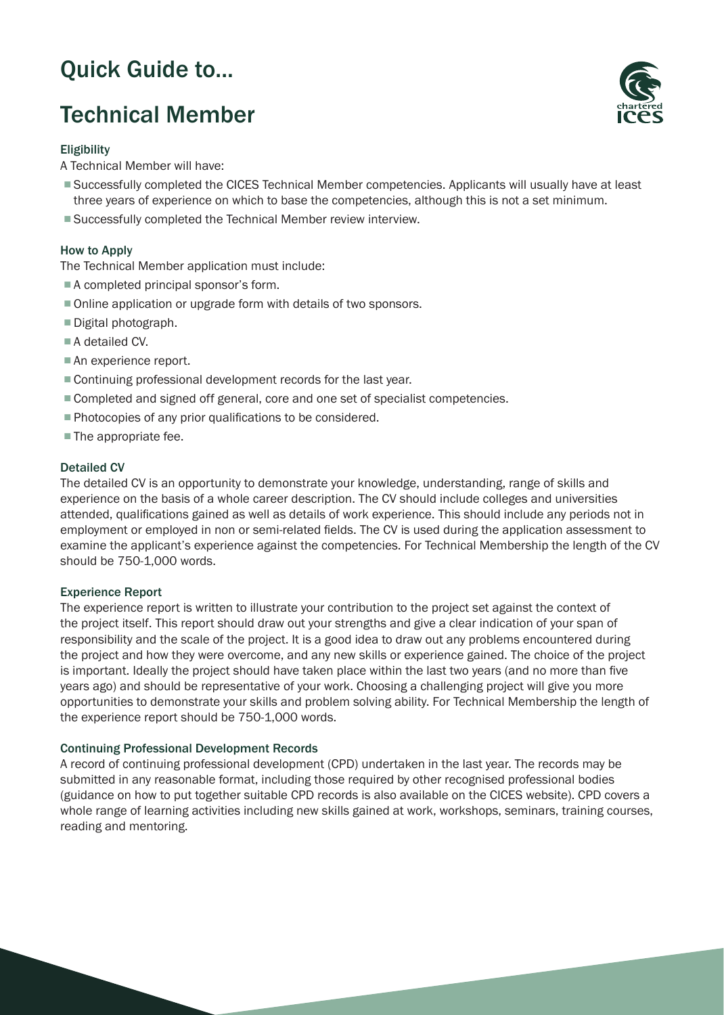# Quick Guide to...

# Technical Member

# **Eligibility**

A Technical Member will have:

- Successfully completed the CICES Technical Member competencies. Applicants will usually have at least three years of experience on which to base the competencies, although this is not a set minimum.
- Successfully completed the Technical Member review interview.

# How to Apply

The Technical Member application must include:

- A completed principal sponsor's form.
- Online application or upgrade form with details of two sponsors.
- Digital photograph.
- A detailed CV.
- An experience report.
- Continuing professional development records for the last year.
- Completed and signed off general, core and one set of specialist competencies.
- Photocopies of any prior qualifications to be considered.
- The appropriate fee.

## Detailed CV

The detailed CV is an opportunity to demonstrate your knowledge, understanding, range of skills and experience on the basis of a whole career description. The CV should include colleges and universities attended, qualifications gained as well as details of work experience. This should include any periods not in employment or employed in non or semi-related fields. The CV is used during the application assessment to examine the applicant's experience against the competencies. For Technical Membership the length of the CV should be 750-1,000 words.

## Experience Report

The experience report is written to illustrate your contribution to the project set against the context of the project itself. This report should draw out your strengths and give a clear indication of your span of responsibility and the scale of the project. It is a good idea to draw out any problems encountered during the project and how they were overcome, and any new skills or experience gained. The choice of the project is important. Ideally the project should have taken place within the last two years (and no more than five years ago) and should be representative of your work. Choosing a challenging project will give you more opportunities to demonstrate your skills and problem solving ability. For Technical Membership the length of the experience report should be 750-1,000 words.

#### Continuing Professional Development Records

A record of continuing professional development (CPD) undertaken in the last year. The records may be submitted in any reasonable format, including those required by other recognised professional bodies (guidance on how to put together suitable CPD records is also available on the CICES website). CPD covers a whole range of learning activities including new skills gained at work, workshops, seminars, training courses, reading and mentoring.